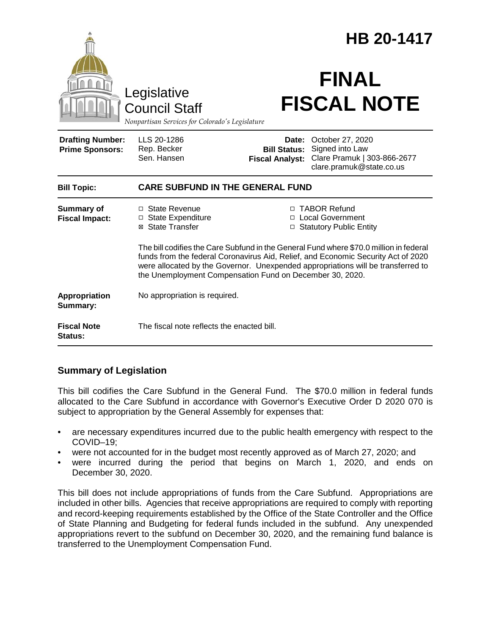|                                                   |                                                                                                                                                                                                                                                                                                                             |                                                        | HB 20-1417                                                                                     |  |
|---------------------------------------------------|-----------------------------------------------------------------------------------------------------------------------------------------------------------------------------------------------------------------------------------------------------------------------------------------------------------------------------|--------------------------------------------------------|------------------------------------------------------------------------------------------------|--|
|                                                   | Legislative<br><b>Council Staff</b><br>Nonpartisan Services for Colorado's Legislature                                                                                                                                                                                                                                      |                                                        | <b>FINAL</b><br><b>FISCAL NOTE</b>                                                             |  |
| <b>Drafting Number:</b><br><b>Prime Sponsors:</b> | LLS 20-1286<br>Rep. Becker<br>Sen, Hansen                                                                                                                                                                                                                                                                                   | Date:<br><b>Bill Status:</b><br><b>Fiscal Analyst:</b> | October 27, 2020<br>Signed into Law<br>Clare Pramuk   303-866-2677<br>clare.pramuk@state.co.us |  |
| <b>Bill Topic:</b>                                | <b>CARE SUBFUND IN THE GENERAL FUND</b>                                                                                                                                                                                                                                                                                     |                                                        |                                                                                                |  |
| <b>Summary of</b><br><b>Fiscal Impact:</b>        | □ State Revenue<br>□ State Expenditure<br>⊠ State Transfer                                                                                                                                                                                                                                                                  |                                                        | □ TABOR Refund<br>□ Local Government<br>□ Statutory Public Entity                              |  |
|                                                   | The bill codifies the Care Subfund in the General Fund where \$70.0 million in federal<br>funds from the federal Coronavirus Aid, Relief, and Economic Security Act of 2020<br>were allocated by the Governor. Unexpended appropriations will be transferred to<br>the Unemployment Compensation Fund on December 30, 2020. |                                                        |                                                                                                |  |
| Appropriation<br>Summary:                         | No appropriation is required.                                                                                                                                                                                                                                                                                               |                                                        |                                                                                                |  |
| <b>Fiscal Note</b><br>Status:                     | The fiscal note reflects the enacted bill.                                                                                                                                                                                                                                                                                  |                                                        |                                                                                                |  |

## **Summary of Legislation**

This bill codifies the Care Subfund in the General Fund. The \$70.0 million in federal funds allocated to the Care Subfund in accordance with Governor's Executive Order D 2020 070 is subject to appropriation by the General Assembly for expenses that:

- are necessary expenditures incurred due to the public health emergency with respect to the COVID–19;
- were not accounted for in the budget most recently approved as of March 27, 2020; and
- were incurred during the period that begins on March 1, 2020, and ends on December 30, 2020.

This bill does not include appropriations of funds from the Care Subfund. Appropriations are included in other bills. Agencies that receive appropriations are required to comply with reporting and record-keeping requirements established by the Office of the State Controller and the Office of State Planning and Budgeting for federal funds included in the subfund. Any unexpended appropriations revert to the subfund on December 30, 2020, and the remaining fund balance is transferred to the Unemployment Compensation Fund.